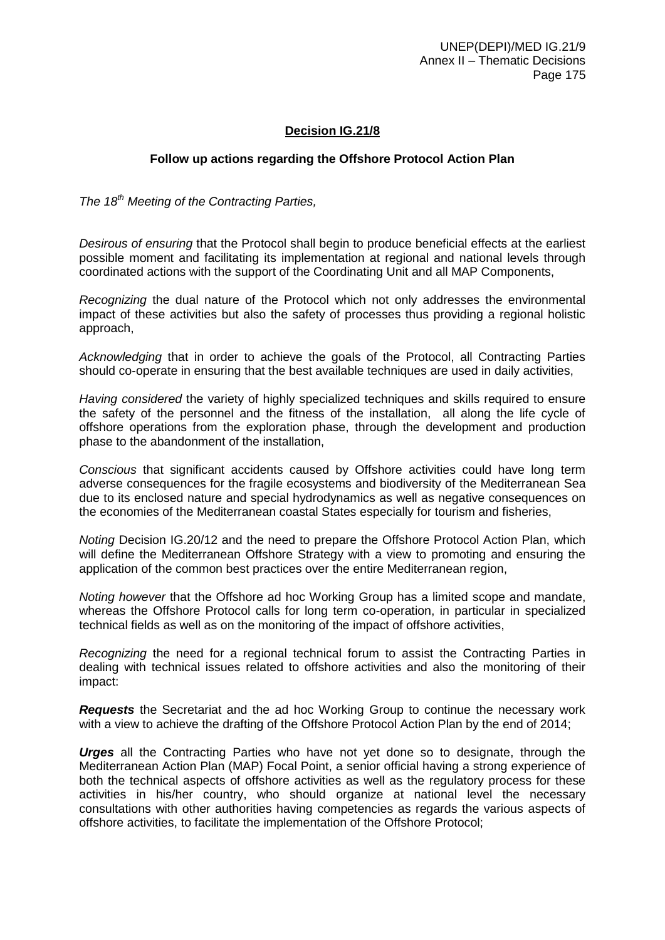## **Decision IG.21/8**

## **Follow up actions regarding the Offshore Protocol Action Plan**

*The 18th Meeting of the Contracting Parties,*

*Desirous of ensuring* that the Protocol shall begin to produce beneficial effects at the earliest possible moment and facilitating its implementation at regional and national levels through coordinated actions with the support of the Coordinating Unit and all MAP Components,

*Recognizing* the dual nature of the Protocol which not only addresses the environmental impact of these activities but also the safety of processes thus providing a regional holistic approach,

*Acknowledging* that in order to achieve the goals of the Protocol, all Contracting Parties should co-operate in ensuring that the best available techniques are used in daily activities,

*Having considered* the variety of highly specialized techniques and skills required to ensure the safety of the personnel and the fitness of the installation, all along the life cycle of offshore operations from the exploration phase, through the development and production phase to the abandonment of the installation,

*Conscious* that significant accidents caused by Offshore activities could have long term adverse consequences for the fragile ecosystems and biodiversity of the Mediterranean Sea due to its enclosed nature and special hydrodynamics as well as negative consequences on the economies of the Mediterranean coastal States especially for tourism and fisheries,

*Noting* Decision IG.20/12 and the need to prepare the Offshore Protocol Action Plan, which will define the Mediterranean Offshore Strategy with a view to promoting and ensuring the application of the common best practices over the entire Mediterranean region,

*Noting however* that the Offshore ad hoc Working Group has a limited scope and mandate, whereas the Offshore Protocol calls for long term co-operation, in particular in specialized technical fields as well as on the monitoring of the impact of offshore activities,

*Recognizing* the need for a regional technical forum to assist the Contracting Parties in dealing with technical issues related to offshore activities and also the monitoring of their impact:

*Requests* the Secretariat and the ad hoc Working Group to continue the necessary work with a view to achieve the drafting of the Offshore Protocol Action Plan by the end of 2014;

*Urges* all the Contracting Parties who have not yet done so to designate, through the Mediterranean Action Plan (MAP) Focal Point, a senior official having a strong experience of both the technical aspects of offshore activities as well as the regulatory process for these activities in his/her country, who should organize at national level the necessary consultations with other authorities having competencies as regards the various aspects of offshore activities, to facilitate the implementation of the Offshore Protocol;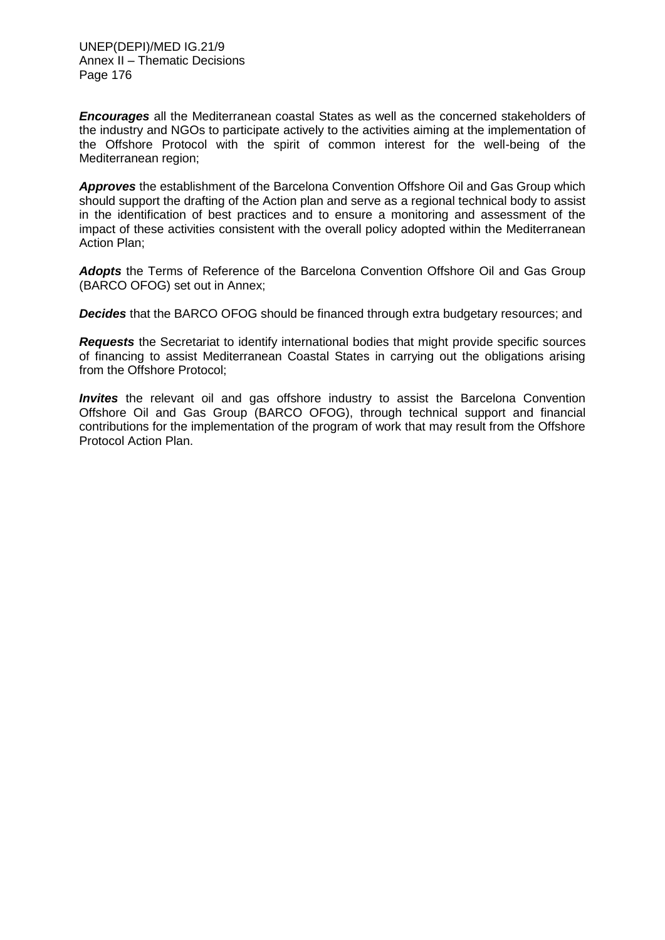*Encourages* all the Mediterranean coastal States as well as the concerned stakeholders of the industry and NGOs to participate actively to the activities aiming at the implementation of the Offshore Protocol with the spirit of common interest for the well-being of the Mediterranean region;

*Approves* the establishment of the Barcelona Convention Offshore Oil and Gas Group which should support the drafting of the Action plan and serve as a regional technical body to assist in the identification of best practices and to ensure a monitoring and assessment of the impact of these activities consistent with the overall policy adopted within the Mediterranean Action Plan;

*Adopts* the Terms of Reference of the Barcelona Convention Offshore Oil and Gas Group (BARCO OFOG) set out in Annex;

*Decides* that the BARCO OFOG should be financed through extra budgetary resources; and

*Requests* the Secretariat to identify international bodies that might provide specific sources of financing to assist Mediterranean Coastal States in carrying out the obligations arising from the Offshore Protocol;

*Invites* the relevant oil and gas offshore industry to assist the Barcelona Convention Offshore Oil and Gas Group (BARCO OFOG), through technical support and financial contributions for the implementation of the program of work that may result from the Offshore Protocol Action Plan.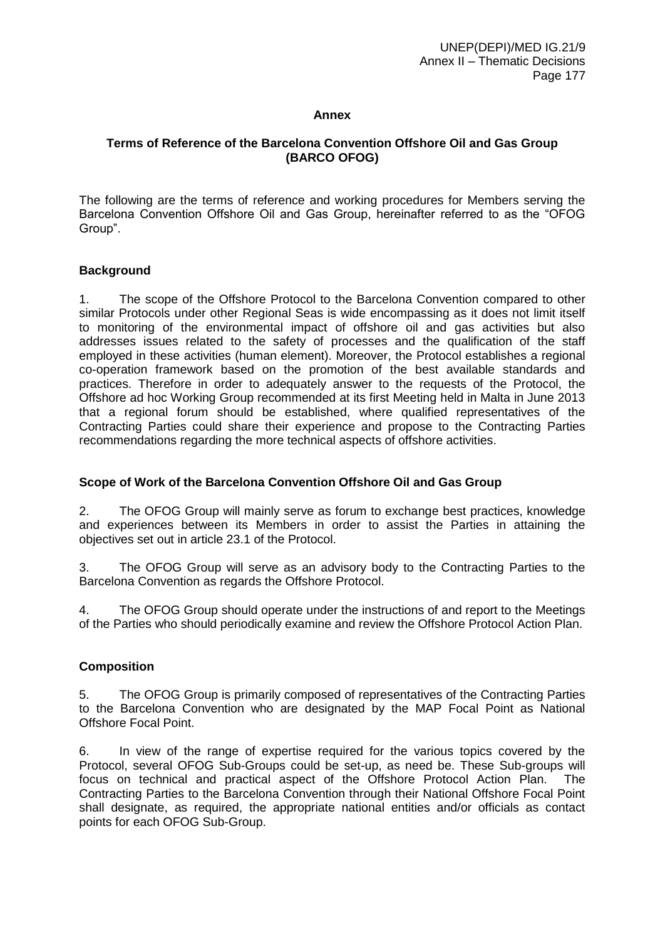### **Annex**

## **Terms of Reference of the Barcelona Convention Offshore Oil and Gas Group (BARCO OFOG)**

The following are the terms of reference and working procedures for Members serving the Barcelona Convention Offshore Oil and Gas Group, hereinafter referred to as the "OFOG Group".

#### **Background**

1. The scope of the Offshore Protocol to the Barcelona Convention compared to other similar Protocols under other Regional Seas is wide encompassing as it does not limit itself to monitoring of the environmental impact of offshore oil and gas activities but also addresses issues related to the safety of processes and the qualification of the staff employed in these activities (human element). Moreover, the Protocol establishes a regional co-operation framework based on the promotion of the best available standards and practices. Therefore in order to adequately answer to the requests of the Protocol, the Offshore ad hoc Working Group recommended at its first Meeting held in Malta in June 2013 that a regional forum should be established, where qualified representatives of the Contracting Parties could share their experience and propose to the Contracting Parties recommendations regarding the more technical aspects of offshore activities.

## **Scope of Work of the Barcelona Convention Offshore Oil and Gas Group**

2. The OFOG Group will mainly serve as forum to exchange best practices, knowledge and experiences between its Members in order to assist the Parties in attaining the objectives set out in article 23.1 of the Protocol.

3. The OFOG Group will serve as an advisory body to the Contracting Parties to the Barcelona Convention as regards the Offshore Protocol.

4. The OFOG Group should operate under the instructions of and report to the Meetings of the Parties who should periodically examine and review the Offshore Protocol Action Plan.

# **Composition**

5. The OFOG Group is primarily composed of representatives of the Contracting Parties to the Barcelona Convention who are designated by the MAP Focal Point as National Offshore Focal Point.

6. In view of the range of expertise required for the various topics covered by the Protocol, several OFOG Sub-Groups could be set-up, as need be. These Sub-groups will focus on technical and practical aspect of the Offshore Protocol Action Plan. The Contracting Parties to the Barcelona Convention through their National Offshore Focal Point shall designate, as required, the appropriate national entities and/or officials as contact points for each OFOG Sub-Group.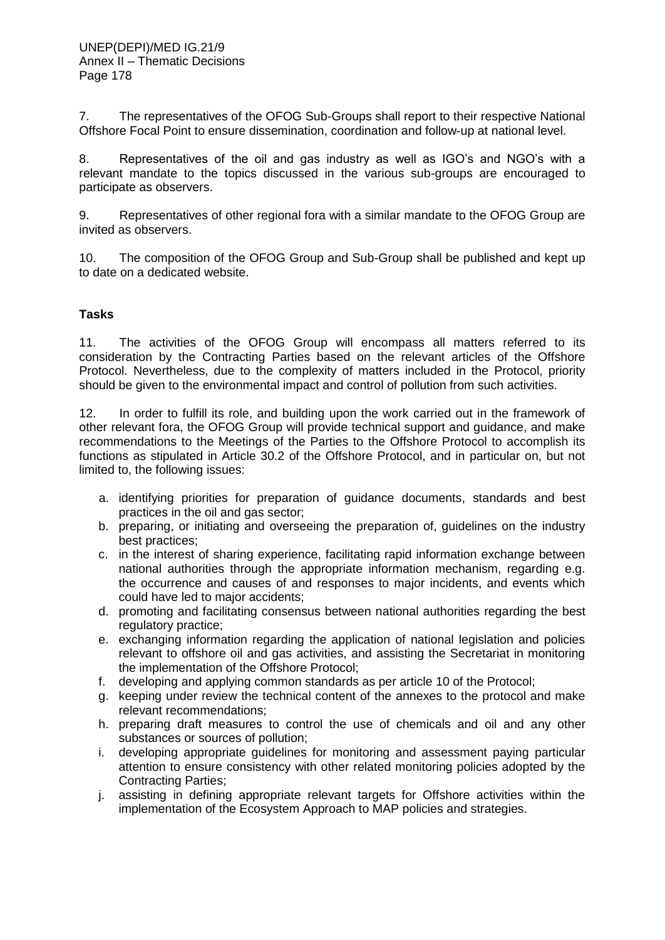7. The representatives of the OFOG Sub-Groups shall report to their respective National Offshore Focal Point to ensure dissemination, coordination and follow-up at national level.

8. Representatives of the oil and gas industry as well as IGO's and NGO's with a relevant mandate to the topics discussed in the various sub-groups are encouraged to participate as observers.

9. Representatives of other regional fora with a similar mandate to the OFOG Group are invited as observers.

10. The composition of the OFOG Group and Sub-Group shall be published and kept up to date on a dedicated website.

## **Tasks**

11. The activities of the OFOG Group will encompass all matters referred to its consideration by the Contracting Parties based on the relevant articles of the Offshore Protocol. Nevertheless, due to the complexity of matters included in the Protocol, priority should be given to the environmental impact and control of pollution from such activities.

12. In order to fulfill its role, and building upon the work carried out in the framework of other relevant fora, the OFOG Group will provide technical support and guidance, and make recommendations to the Meetings of the Parties to the Offshore Protocol to accomplish its functions as stipulated in Article 30.2 of the Offshore Protocol, and in particular on, but not limited to, the following issues:

- a. identifying priorities for preparation of guidance documents, standards and best practices in the oil and gas sector;
- b. preparing, or initiating and overseeing the preparation of, guidelines on the industry best practices;
- c. in the interest of sharing experience, facilitating rapid information exchange between national authorities through the appropriate information mechanism, regarding e.g. the occurrence and causes of and responses to major incidents, and events which could have led to major accidents;
- d. promoting and facilitating consensus between national authorities regarding the best regulatory practice;
- e. exchanging information regarding the application of national legislation and policies relevant to offshore oil and gas activities, and assisting the Secretariat in monitoring the implementation of the Offshore Protocol;
- f. developing and applying common standards as per article 10 of the Protocol;
- g. keeping under review the technical content of the annexes to the protocol and make relevant recommendations;
- h. preparing draft measures to control the use of chemicals and oil and any other substances or sources of pollution;
- i. developing appropriate guidelines for monitoring and assessment paying particular attention to ensure consistency with other related monitoring policies adopted by the Contracting Parties;
- j. assisting in defining appropriate relevant targets for Offshore activities within the implementation of the Ecosystem Approach to MAP policies and strategies.